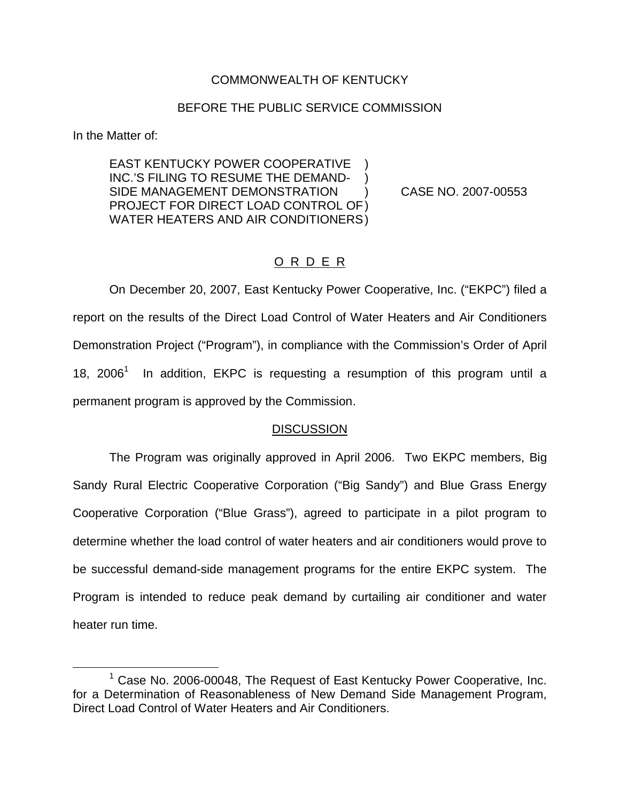## COMMONWEALTH OF KENTUCKY

## BEFORE THE PUBLIC SERVICE COMMISSION

In the Matter of:

EAST KENTUCKY POWER COOPERATIVE INC.'S FILING TO RESUME THE DEMAND-SIDE MANAGEMENT DEMONSTRATION ) CASE NO. 2007-00553 PROJECT FOR DIRECT LOAD CONTROL OF) WATER HEATERS AND AIR CONDITIONERS)

## O R D E R

On December 20, 2007, East Kentucky Power Cooperative, Inc. ("EKPC") filed a report on the results of the Direct Load Control of Water Heaters and Air Conditioners Demonstration Project ("Program"), in compliance with the Commission's Order of April 18, 2006<sup>1</sup> In addition, EKPC is requesting a resumption of this program until a permanent program is approved by the Commission.

## **DISCUSSION**

The Program was originally approved in April 2006. Two EKPC members, Big Sandy Rural Electric Cooperative Corporation ("Big Sandy") and Blue Grass Energy Cooperative Corporation ("Blue Grass"), agreed to participate in a pilot program to determine whether the load control of water heaters and air conditioners would prove to be successful demand-side management programs for the entire EKPC system. The Program is intended to reduce peak demand by curtailing air conditioner and water heater run time.

<sup>&</sup>lt;sup>1</sup> Case No. 2006-00048, The Request of East Kentucky Power Cooperative, Inc. for a Determination of Reasonableness of New Demand Side Management Program, Direct Load Control of Water Heaters and Air Conditioners.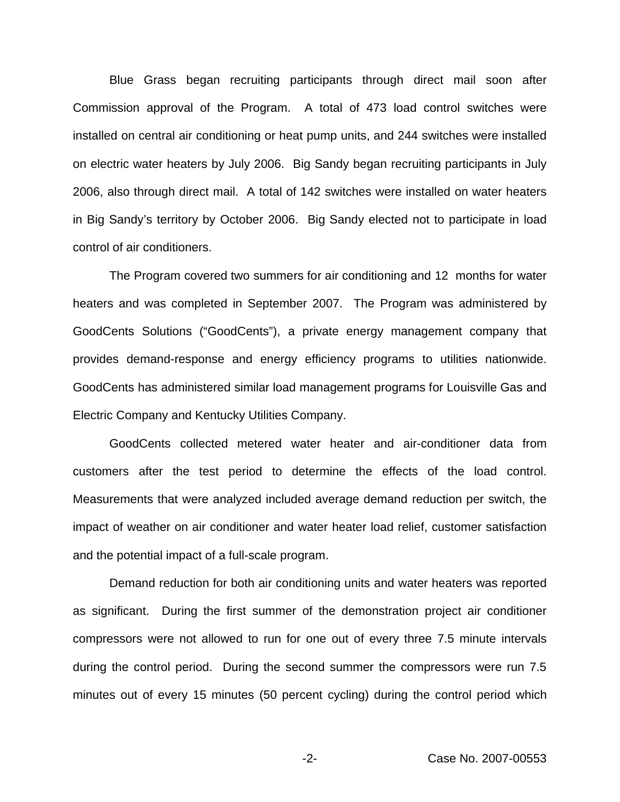Blue Grass began recruiting participants through direct mail soon after Commission approval of the Program. A total of 473 load control switches were installed on central air conditioning or heat pump units, and 244 switches were installed on electric water heaters by July 2006. Big Sandy began recruiting participants in July 2006, also through direct mail. A total of 142 switches were installed on water heaters in Big Sandy's territory by October 2006. Big Sandy elected not to participate in load control of air conditioners.

The Program covered two summers for air conditioning and 12 months for water heaters and was completed in September 2007. The Program was administered by GoodCents Solutions ("GoodCents"), a private energy management company that provides demand-response and energy efficiency programs to utilities nationwide. GoodCents has administered similar load management programs for Louisville Gas and Electric Company and Kentucky Utilities Company.

GoodCents collected metered water heater and air-conditioner data from customers after the test period to determine the effects of the load control. Measurements that were analyzed included average demand reduction per switch, the impact of weather on air conditioner and water heater load relief, customer satisfaction and the potential impact of a full-scale program.

Demand reduction for both air conditioning units and water heaters was reported as significant. During the first summer of the demonstration project air conditioner compressors were not allowed to run for one out of every three 7.5 minute intervals during the control period. During the second summer the compressors were run 7.5 minutes out of every 15 minutes (50 percent cycling) during the control period which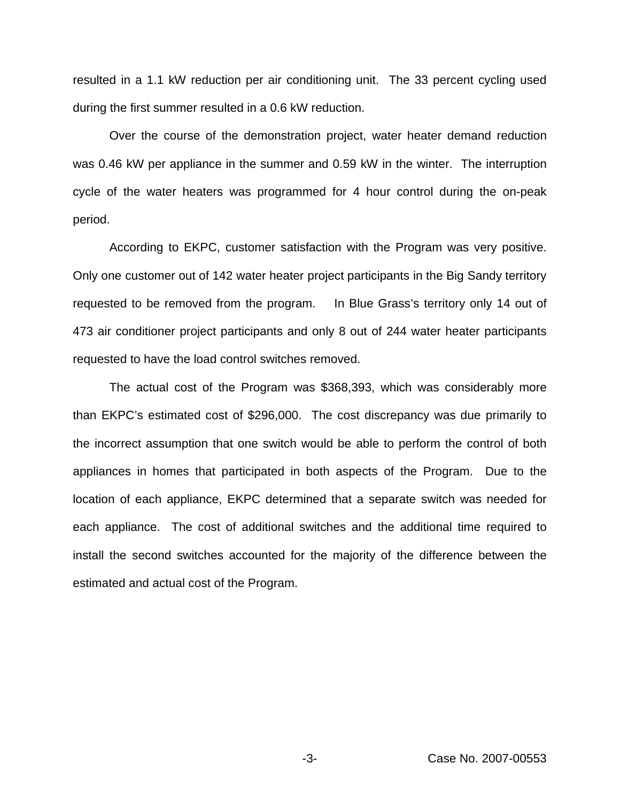resulted in a 1.1 kW reduction per air conditioning unit. The 33 percent cycling used during the first summer resulted in a 0.6 kW reduction.

Over the course of the demonstration project, water heater demand reduction was 0.46 kW per appliance in the summer and 0.59 kW in the winter. The interruption cycle of the water heaters was programmed for 4 hour control during the on-peak period.

According to EKPC, customer satisfaction with the Program was very positive. Only one customer out of 142 water heater project participants in the Big Sandy territory requested to be removed from the program. In Blue Grass's territory only 14 out of 473 air conditioner project participants and only 8 out of 244 water heater participants requested to have the load control switches removed.

The actual cost of the Program was \$368,393, which was considerably more than EKPC's estimated cost of \$296,000. The cost discrepancy was due primarily to the incorrect assumption that one switch would be able to perform the control of both appliances in homes that participated in both aspects of the Program. Due to the location of each appliance, EKPC determined that a separate switch was needed for each appliance. The cost of additional switches and the additional time required to install the second switches accounted for the majority of the difference between the estimated and actual cost of the Program.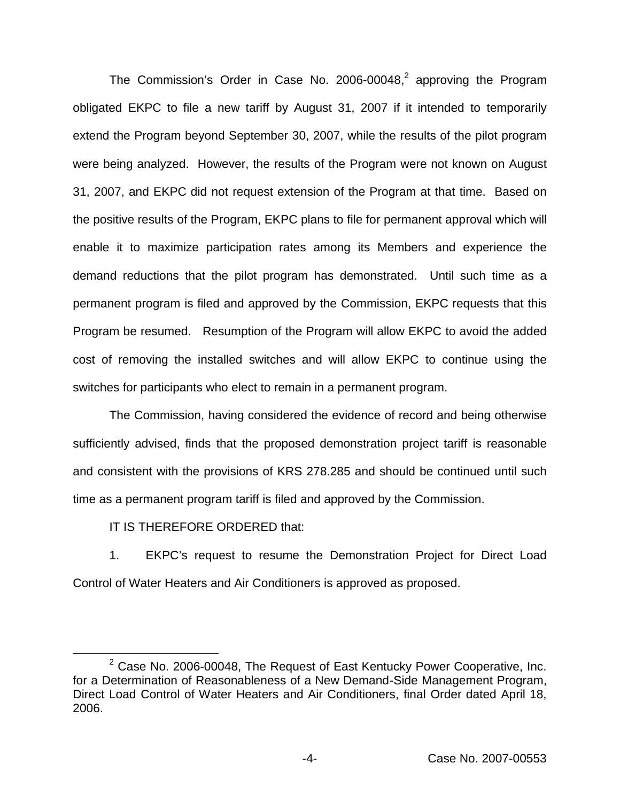The Commission's Order in Case No. 2006-00048, $<sup>2</sup>$  approving the Program</sup> obligated EKPC to file a new tariff by August 31, 2007 if it intended to temporarily extend the Program beyond September 30, 2007, while the results of the pilot program were being analyzed. However, the results of the Program were not known on August 31, 2007, and EKPC did not request extension of the Program at that time. Based on the positive results of the Program, EKPC plans to file for permanent approval which will enable it to maximize participation rates among its Members and experience the demand reductions that the pilot program has demonstrated. Until such time as a permanent program is filed and approved by the Commission, EKPC requests that this Program be resumed. Resumption of the Program will allow EKPC to avoid the added cost of removing the installed switches and will allow EKPC to continue using the switches for participants who elect to remain in a permanent program.

The Commission, having considered the evidence of record and being otherwise sufficiently advised, finds that the proposed demonstration project tariff is reasonable and consistent with the provisions of KRS 278.285 and should be continued until such time as a permanent program tariff is filed and approved by the Commission.

IT IS THEREFORE ORDERED that:

1. EKPC's request to resume the Demonstration Project for Direct Load Control of Water Heaters and Air Conditioners is approved as proposed.

 $2$  Case No. 2006-00048, The Request of East Kentucky Power Cooperative, Inc. for a Determination of Reasonableness of a New Demand-Side Management Program, Direct Load Control of Water Heaters and Air Conditioners, final Order dated April 18, 2006.